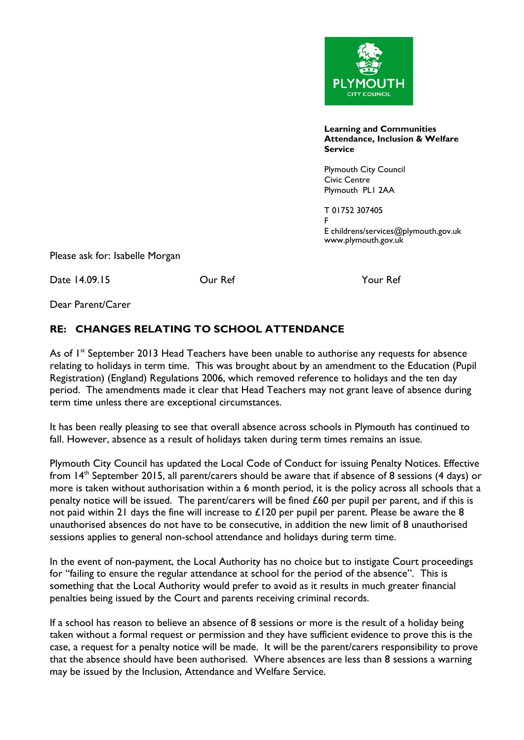

**Learning and Communities Attendance, Inclusion & Welfare Service**

Plymouth City Council Civic Centre Plymouth PL1 2AA

T 01752 307405 F E childrens/services@plymouth.gov.uk www.plymouth.gov.uk

Please ask for: Isabelle Morgan

Date 14.09.15 Our Ref Your Ref

Dear Parent/Carer

## **RE: CHANGES RELATING TO SCHOOL ATTENDANCE**

As of 1<sup>st</sup> September 2013 Head Teachers have been unable to authorise any requests for absence relating to holidays in term time. This was brought about by an amendment to the Education (Pupil Registration) (England) Regulations 2006, which removed reference to holidays and the ten day period. The amendments made it clear that Head Teachers may not grant leave of absence during term time unless there are exceptional circumstances.

It has been really pleasing to see that overall absence across schools in Plymouth has continued to fall. However, absence as a result of holidays taken during term times remains an issue.

Plymouth City Council has updated the Local Code of Conduct for issuing Penalty Notices. Effective from 14<sup>th</sup> September 2015, all parent/carers should be aware that if absence of 8 sessions (4 days) or more is taken without authorisation within a 6 month period, it is the policy across all schools that a penalty notice will be issued. The parent/carers will be fined £60 per pupil per parent, and if this is not paid within 21 days the fine will increase to £120 per pupil per parent. Please be aware the 8 unauthorised absences do not have to be consecutive, in addition the new limit of 8 unauthorised sessions applies to general non-school attendance and holidays during term time.

In the event of non-payment, the Local Authority has no choice but to instigate Court proceedings for "failing to ensure the regular attendance at school for the period of the absence". This is something that the Local Authority would prefer to avoid as it results in much greater financial penalties being issued by the Court and parents receiving criminal records.

If a school has reason to believe an absence of 8 sessions or more is the result of a holiday being taken without a formal request or permission and they have sufficient evidence to prove this is the case, a request for a penalty notice will be made. It will be the parent/carers responsibility to prove that the absence should have been authorised. Where absences are less than 8 sessions a warning may be issued by the Inclusion, Attendance and Welfare Service.